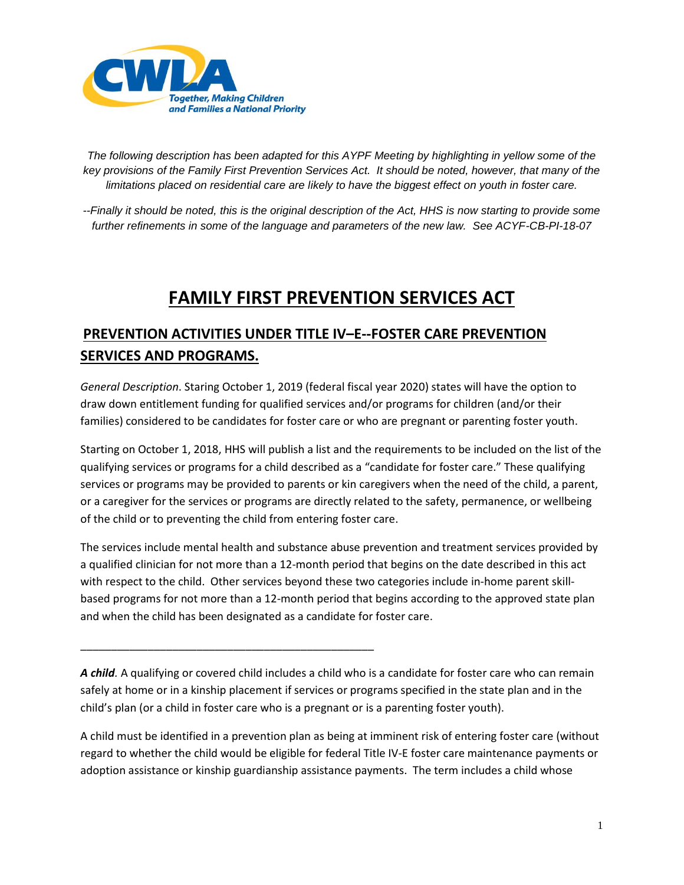

*The following description has been adapted for this AYPF Meeting by highlighting in yellow some of the key provisions of the Family First Prevention Services Act. It should be noted, however, that many of the limitations placed on residential care are likely to have the biggest effect on youth in foster care.*

*--Finally it should be noted, this is the original description of the Act, HHS is now starting to provide some further refinements in some of the language and parameters of the new law. See ACYF-CB-PI-18-07*

# **FAMILY FIRST PREVENTION SERVICES ACT**

### **PREVENTION ACTIVITIES UNDER TITLE IV–E--FOSTER CARE PREVENTION SERVICES AND PROGRAMS.**

*General Description*. Staring October 1, 2019 (federal fiscal year 2020) states will have the option to draw down entitlement funding for qualified services and/or programs for children (and/or their families) considered to be candidates for foster care or who are pregnant or parenting foster youth.

Starting on October 1, 2018, HHS will publish a list and the requirements to be included on the list of the qualifying services or programs for a child described as a "candidate for foster care." These qualifying services or programs may be provided to parents or kin caregivers when the need of the child, a parent, or a caregiver for the services or programs are directly related to the safety, permanence, or wellbeing of the child or to preventing the child from entering foster care.

The services include mental health and substance abuse prevention and treatment services provided by a qualified clinician for not more than a 12-month period that begins on the date described in this act with respect to the child. Other services beyond these two categories include in-home parent skillbased programs for not more than a 12-month period that begins according to the approved state plan and when the child has been designated as a candidate for foster care.

*A child.* A qualifying or covered child includes a child who is a candidate for foster care who can remain safely at home or in a kinship placement if services or programs specified in the state plan and in the child's plan (or a child in foster care who is a pregnant or is a parenting foster youth).

\_\_\_\_\_\_\_\_\_\_\_\_\_\_\_\_\_\_\_\_\_\_\_\_\_\_\_\_\_\_\_\_\_\_\_\_\_\_\_\_\_\_\_\_\_\_\_\_

A child must be identified in a prevention plan as being at imminent risk of entering foster care (without regard to whether the child would be eligible for federal Title IV-E foster care maintenance payments or adoption assistance or kinship guardianship assistance payments. The term includes a child whose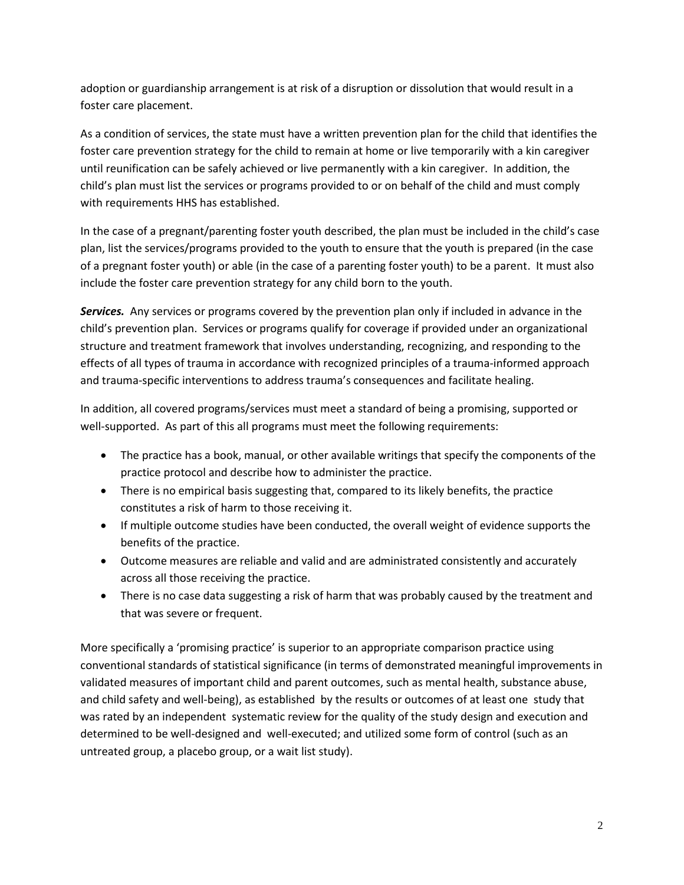adoption or guardianship arrangement is at risk of a disruption or dissolution that would result in a foster care placement.

As a condition of services, the state must have a written prevention plan for the child that identifies the foster care prevention strategy for the child to remain at home or live temporarily with a kin caregiver until reunification can be safely achieved or live permanently with a kin caregiver. In addition, the child's plan must list the services or programs provided to or on behalf of the child and must comply with requirements HHS has established.

In the case of a pregnant/parenting foster youth described, the plan must be included in the child's case plan, list the services/programs provided to the youth to ensure that the youth is prepared (in the case of a pregnant foster youth) or able (in the case of a parenting foster youth) to be a parent. It must also include the foster care prevention strategy for any child born to the youth.

*Services.* Any services or programs covered by the prevention plan only if included in advance in the child's prevention plan. Services or programs qualify for coverage if provided under an organizational structure and treatment framework that involves understanding, recognizing, and responding to the effects of all types of trauma in accordance with recognized principles of a trauma-informed approach and trauma-specific interventions to address trauma's consequences and facilitate healing.

In addition, all covered programs/services must meet a standard of being a promising, supported or well-supported. As part of this all programs must meet the following requirements:

- The practice has a book, manual, or other available writings that specify the components of the practice protocol and describe how to administer the practice.
- There is no empirical basis suggesting that, compared to its likely benefits, the practice constitutes a risk of harm to those receiving it.
- If multiple outcome studies have been conducted, the overall weight of evidence supports the benefits of the practice.
- Outcome measures are reliable and valid and are administrated consistently and accurately across all those receiving the practice.
- There is no case data suggesting a risk of harm that was probably caused by the treatment and that was severe or frequent.

More specifically a 'promising practice' is superior to an appropriate comparison practice using conventional standards of statistical significance (in terms of demonstrated meaningful improvements in validated measures of important child and parent outcomes, such as mental health, substance abuse, and child safety and well-being), as established by the results or outcomes of at least one study that was rated by an independent systematic review for the quality of the study design and execution and determined to be well-designed and well-executed; and utilized some form of control (such as an untreated group, a placebo group, or a wait list study).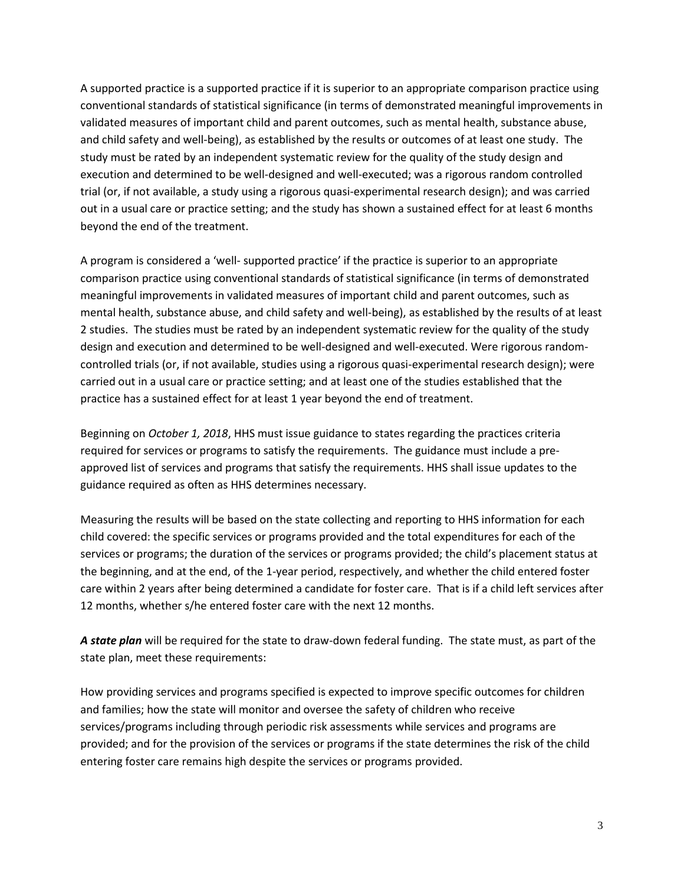A supported practice is a supported practice if it is superior to an appropriate comparison practice using conventional standards of statistical significance (in terms of demonstrated meaningful improvements in validated measures of important child and parent outcomes, such as mental health, substance abuse, and child safety and well-being), as established by the results or outcomes of at least one study. The study must be rated by an independent systematic review for the quality of the study design and execution and determined to be well-designed and well-executed; was a rigorous random controlled trial (or, if not available, a study using a rigorous quasi-experimental research design); and was carried out in a usual care or practice setting; and the study has shown a sustained effect for at least 6 months beyond the end of the treatment.

A program is considered a 'well- supported practice' if the practice is superior to an appropriate comparison practice using conventional standards of statistical significance (in terms of demonstrated meaningful improvements in validated measures of important child and parent outcomes, such as mental health, substance abuse, and child safety and well-being), as established by the results of at least 2 studies. The studies must be rated by an independent systematic review for the quality of the study design and execution and determined to be well-designed and well-executed. Were rigorous randomcontrolled trials (or, if not available, studies using a rigorous quasi-experimental research design); were carried out in a usual care or practice setting; and at least one of the studies established that the practice has a sustained effect for at least 1 year beyond the end of treatment.

Beginning on *October 1, 2018*, HHS must issue guidance to states regarding the practices criteria required for services or programs to satisfy the requirements. The guidance must include a preapproved list of services and programs that satisfy the requirements. HHS shall issue updates to the guidance required as often as HHS determines necessary.

Measuring the results will be based on the state collecting and reporting to HHS information for each child covered: the specific services or programs provided and the total expenditures for each of the services or programs; the duration of the services or programs provided; the child's placement status at the beginning, and at the end, of the 1-year period, respectively, and whether the child entered foster care within 2 years after being determined a candidate for foster care. That is if a child left services after 12 months, whether s/he entered foster care with the next 12 months.

*A state plan* will be required for the state to draw-down federal funding. The state must, as part of the state plan, meet these requirements:

How providing services and programs specified is expected to improve specific outcomes for children and families; how the state will monitor and oversee the safety of children who receive services/programs including through periodic risk assessments while services and programs are provided; and for the provision of the services or programs if the state determines the risk of the child entering foster care remains high despite the services or programs provided.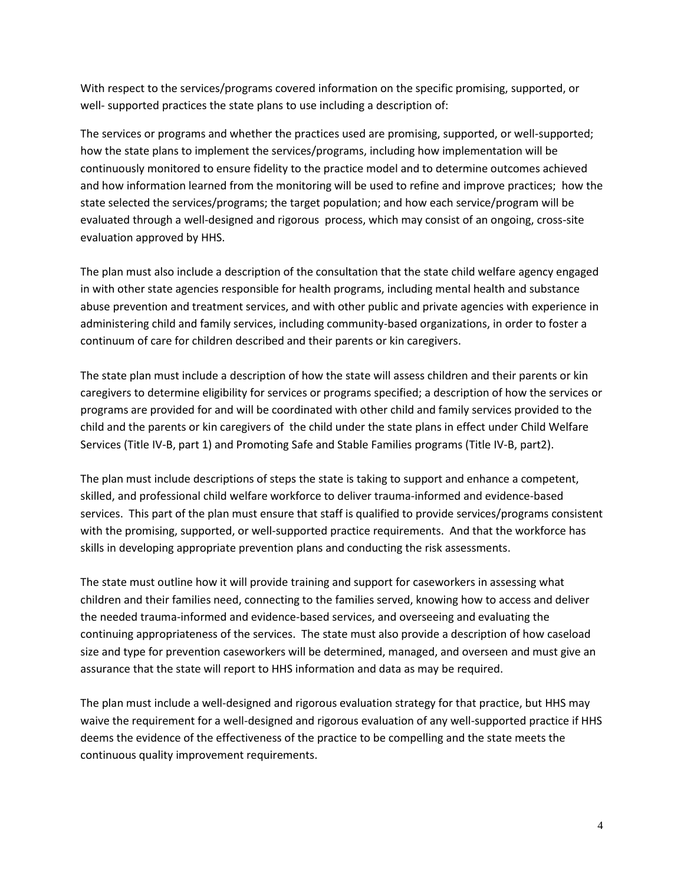With respect to the services/programs covered information on the specific promising, supported, or well- supported practices the state plans to use including a description of:

The services or programs and whether the practices used are promising, supported, or well-supported; how the state plans to implement the services/programs, including how implementation will be continuously monitored to ensure fidelity to the practice model and to determine outcomes achieved and how information learned from the monitoring will be used to refine and improve practices; how the state selected the services/programs; the target population; and how each service/program will be evaluated through a well-designed and rigorous process, which may consist of an ongoing, cross-site evaluation approved by HHS.

The plan must also include a description of the consultation that the state child welfare agency engaged in with other state agencies responsible for health programs, including mental health and substance abuse prevention and treatment services, and with other public and private agencies with experience in administering child and family services, including community-based organizations, in order to foster a continuum of care for children described and their parents or kin caregivers.

The state plan must include a description of how the state will assess children and their parents or kin caregivers to determine eligibility for services or programs specified; a description of how the services or programs are provided for and will be coordinated with other child and family services provided to the child and the parents or kin caregivers of the child under the state plans in effect under Child Welfare Services (Title IV-B, part 1) and Promoting Safe and Stable Families programs (Title IV-B, part2).

The plan must include descriptions of steps the state is taking to support and enhance a competent, skilled, and professional child welfare workforce to deliver trauma-informed and evidence-based services. This part of the plan must ensure that staff is qualified to provide services/programs consistent with the promising, supported, or well-supported practice requirements. And that the workforce has skills in developing appropriate prevention plans and conducting the risk assessments.

The state must outline how it will provide training and support for caseworkers in assessing what children and their families need, connecting to the families served, knowing how to access and deliver the needed trauma-informed and evidence-based services, and overseeing and evaluating the continuing appropriateness of the services. The state must also provide a description of how caseload size and type for prevention caseworkers will be determined, managed, and overseen and must give an assurance that the state will report to HHS information and data as may be required.

The plan must include a well-designed and rigorous evaluation strategy for that practice, but HHS may waive the requirement for a well-designed and rigorous evaluation of any well-supported practice if HHS deems the evidence of the effectiveness of the practice to be compelling and the state meets the continuous quality improvement requirements.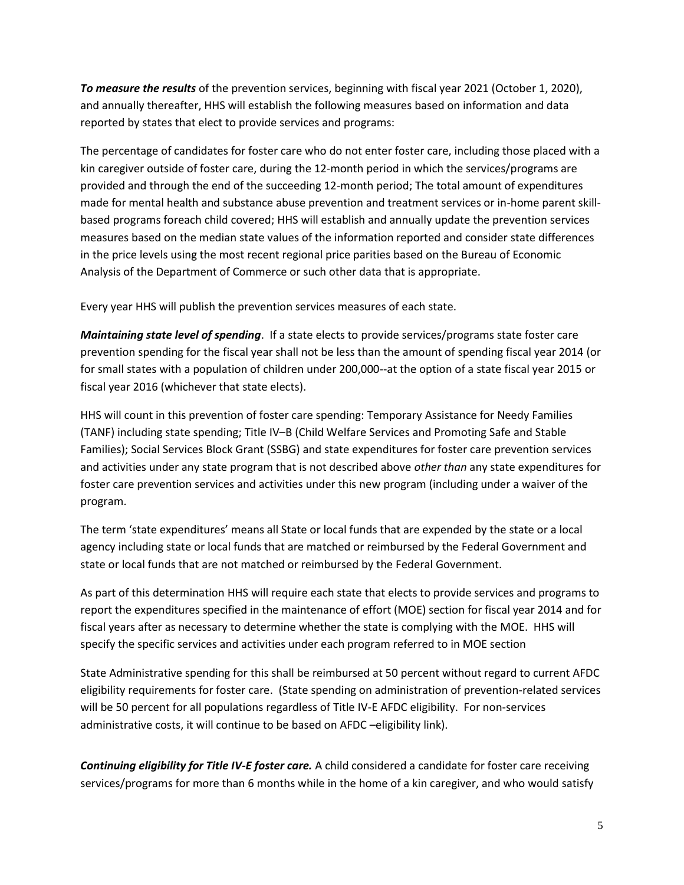*To measure the results* of the prevention services, beginning with fiscal year 2021 (October 1, 2020), and annually thereafter, HHS will establish the following measures based on information and data reported by states that elect to provide services and programs:

The percentage of candidates for foster care who do not enter foster care, including those placed with a kin caregiver outside of foster care, during the 12-month period in which the services/programs are provided and through the end of the succeeding 12-month period; The total amount of expenditures made for mental health and substance abuse prevention and treatment services or in-home parent skillbased programs foreach child covered; HHS will establish and annually update the prevention services measures based on the median state values of the information reported and consider state differences in the price levels using the most recent regional price parities based on the Bureau of Economic Analysis of the Department of Commerce or such other data that is appropriate.

Every year HHS will publish the prevention services measures of each state.

*Maintaining state level of spending*. If a state elects to provide services/programs state foster care prevention spending for the fiscal year shall not be less than the amount of spending fiscal year 2014 (or for small states with a population of children under 200,000--at the option of a state fiscal year 2015 or fiscal year 2016 (whichever that state elects).

HHS will count in this prevention of foster care spending: Temporary Assistance for Needy Families (TANF) including state spending; Title IV–B (Child Welfare Services and Promoting Safe and Stable Families); Social Services Block Grant (SSBG) and state expenditures for foster care prevention services and activities under any state program that is not described above *other than* any state expenditures for foster care prevention services and activities under this new program (including under a waiver of the program.

The term 'state expenditures' means all State or local funds that are expended by the state or a local agency including state or local funds that are matched or reimbursed by the Federal Government and state or local funds that are not matched or reimbursed by the Federal Government.

As part of this determination HHS will require each state that elects to provide services and programs to report the expenditures specified in the maintenance of effort (MOE) section for fiscal year 2014 and for fiscal years after as necessary to determine whether the state is complying with the MOE. HHS will specify the specific services and activities under each program referred to in MOE section

State Administrative spending for this shall be reimbursed at 50 percent without regard to current AFDC eligibility requirements for foster care. (State spending on administration of prevention-related services will be 50 percent for all populations regardless of Title IV-E AFDC eligibility. For non-services administrative costs, it will continue to be based on AFDC –eligibility link).

*Continuing eligibility for Title IV-E foster care.* A child considered a candidate for foster care receiving services/programs for more than 6 months while in the home of a kin caregiver, and who would satisfy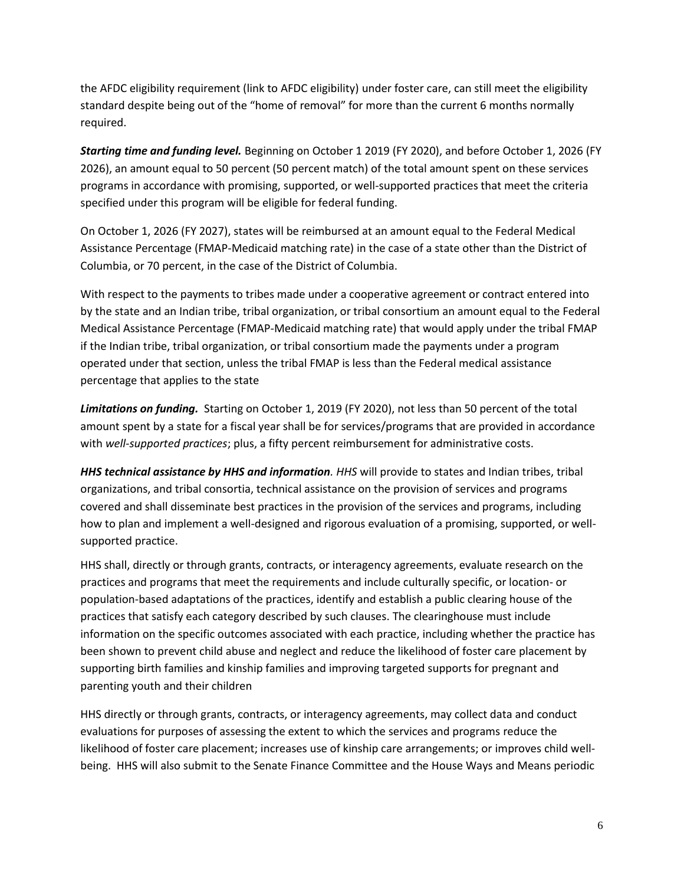the AFDC eligibility requirement (link to AFDC eligibility) under foster care, can still meet the eligibility standard despite being out of the "home of removal" for more than the current 6 months normally required.

*Starting time and funding level.* Beginning on October 1 2019 (FY 2020), and before October 1, 2026 (FY 2026), an amount equal to 50 percent (50 percent match) of the total amount spent on these services programs in accordance with promising, supported, or well-supported practices that meet the criteria specified under this program will be eligible for federal funding.

On October 1, 2026 (FY 2027), states will be reimbursed at an amount equal to the Federal Medical Assistance Percentage (FMAP-Medicaid matching rate) in the case of a state other than the District of Columbia, or 70 percent, in the case of the District of Columbia.

With respect to the payments to tribes made under a cooperative agreement or contract entered into by the state and an Indian tribe, tribal organization, or tribal consortium an amount equal to the Federal Medical Assistance Percentage (FMAP-Medicaid matching rate) that would apply under the tribal FMAP if the Indian tribe, tribal organization, or tribal consortium made the payments under a program operated under that section, unless the tribal FMAP is less than the Federal medical assistance percentage that applies to the state

*Limitations on funding.* Starting on October 1, 2019 (FY 2020), not less than 50 percent of the total amount spent by a state for a fiscal year shall be for services/programs that are provided in accordance with *well-supported practices*; plus, a fifty percent reimbursement for administrative costs.

*HHS technical assistance by HHS and information. HHS* will provide to states and Indian tribes, tribal organizations, and tribal consortia, technical assistance on the provision of services and programs covered and shall disseminate best practices in the provision of the services and programs, including how to plan and implement a well-designed and rigorous evaluation of a promising, supported, or wellsupported practice.

HHS shall, directly or through grants, contracts, or interagency agreements, evaluate research on the practices and programs that meet the requirements and include culturally specific, or location- or population-based adaptations of the practices, identify and establish a public clearing house of the practices that satisfy each category described by such clauses. The clearinghouse must include information on the specific outcomes associated with each practice, including whether the practice has been shown to prevent child abuse and neglect and reduce the likelihood of foster care placement by supporting birth families and kinship families and improving targeted supports for pregnant and parenting youth and their children

HHS directly or through grants, contracts, or interagency agreements, may collect data and conduct evaluations for purposes of assessing the extent to which the services and programs reduce the likelihood of foster care placement; increases use of kinship care arrangements; or improves child wellbeing. HHS will also submit to the Senate Finance Committee and the House Ways and Means periodic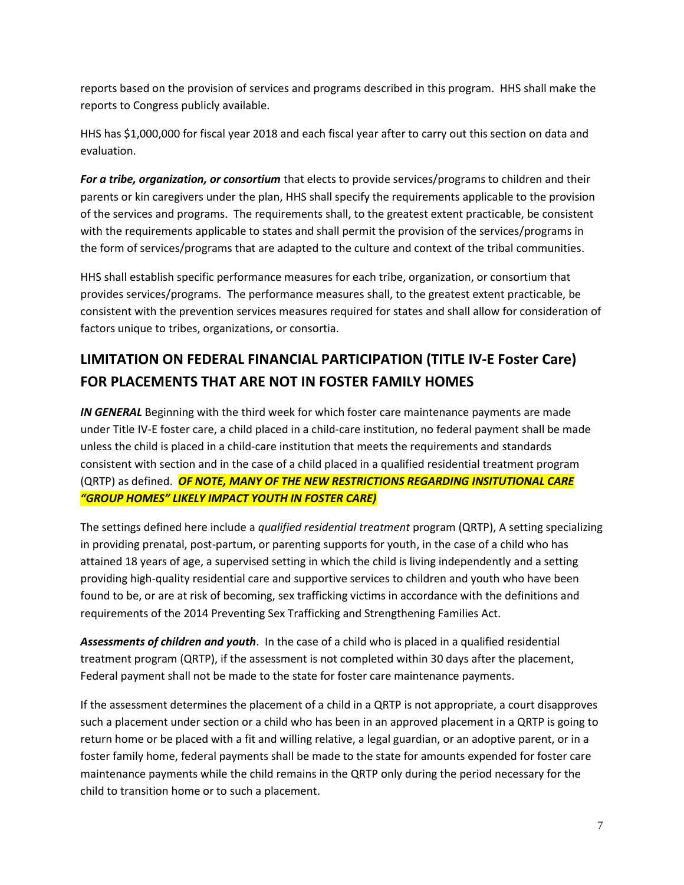reports based on the provision of services and programs described in this program. HHS shall make the reports to Congress publicly available.

HHS has \$1,000,000 for fiscal year 2018 and each fiscal year after to carry out this section on data and evaluation.

*For a tribe, organization, or consortium* that elects to provide services/programs to children and their parents or kin caregivers under the plan, HHS shall specify the requirements applicable to the provision of the services and programs. The requirements shall, to the greatest extent practicable, be consistent with the requirements applicable to states and shall permit the provision of the services/programs in the form of services/programs that are adapted to the culture and context of the tribal communities.

HHS shall establish specific performance measures for each tribe, organization, or consortium that provides services/programs. The performance measures shall, to the greatest extent practicable, be consistent with the prevention services measures required for states and shall allow for consideration of factors unique to tribes, organizations, or consortia.

## **LIMITATION ON FEDERAL FINANCIAL PARTICIPATION (TITLE IV-E Foster Care) FOR PLACEMENTS THAT ARE NOT IN FOSTER FAMILY HOMES**

**IN GENERAL** Beginning with the third week for which foster care maintenance payments are made under Title IV-E foster care, a child placed in a child-care institution, no federal payment shall be made unless the child is placed in a child-care institution that meets the requirements and standards consistent with section and in the case of a child placed in a qualified residential treatment program (QRTP) as defined. *OF NOTE, MANY OF THE NEW RESTRICTIONS REGARDING INSITUTIONAL CARE "GROUP HOMES" LIKELY IMPACT YOUTH IN FOSTER CARE)*

The settings defined here include a *qualified residential treatment* program (QRTP), A setting specializing in providing prenatal, post-partum, or parenting supports for youth, in the case of a child who has attained 18 years of age, a supervised setting in which the child is living independently and a setting providing high-quality residential care and supportive services to children and youth who have been found to be, or are at risk of becoming, sex trafficking victims in accordance with the definitions and requirements of the 2014 Preventing Sex Trafficking and Strengthening Families Act.

*Assessments of children and youth*. In the case of a child who is placed in a qualified residential treatment program (QRTP), if the assessment is not completed within 30 days after the placement, Federal payment shall not be made to the state for foster care maintenance payments.

If the assessment determines the placement of a child in a QRTP is not appropriate, a court disapproves such a placement under section or a child who has been in an approved placement in a QRTP is going to return home or be placed with a fit and willing relative, a legal guardian, or an adoptive parent, or in a foster family home, federal payments shall be made to the state for amounts expended for foster care maintenance payments while the child remains in the QRTP only during the period necessary for the child to transition home or to such a placement.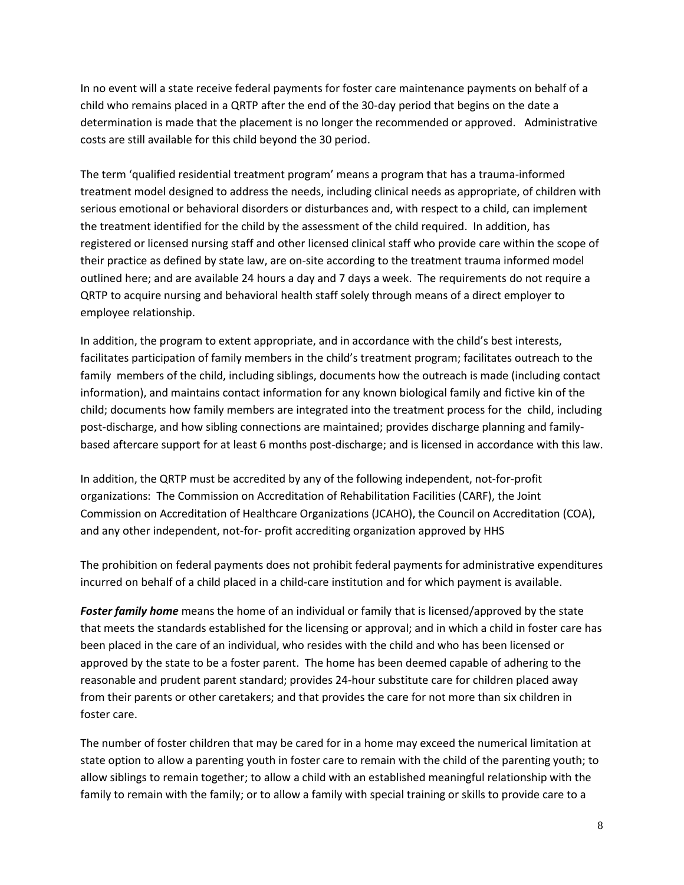In no event will a state receive federal payments for foster care maintenance payments on behalf of a child who remains placed in a QRTP after the end of the 30-day period that begins on the date a determination is made that the placement is no longer the recommended or approved. Administrative costs are still available for this child beyond the 30 period.

The term 'qualified residential treatment program' means a program that has a trauma-informed treatment model designed to address the needs, including clinical needs as appropriate, of children with serious emotional or behavioral disorders or disturbances and, with respect to a child, can implement the treatment identified for the child by the assessment of the child required. In addition, has registered or licensed nursing staff and other licensed clinical staff who provide care within the scope of their practice as defined by state law, are on-site according to the treatment trauma informed model outlined here; and are available 24 hours a day and 7 days a week. The requirements do not require a QRTP to acquire nursing and behavioral health staff solely through means of a direct employer to employee relationship.

In addition, the program to extent appropriate, and in accordance with the child's best interests, facilitates participation of family members in the child's treatment program; facilitates outreach to the family members of the child, including siblings, documents how the outreach is made (including contact information), and maintains contact information for any known biological family and fictive kin of the child; documents how family members are integrated into the treatment process for the child, including post-discharge, and how sibling connections are maintained; provides discharge planning and familybased aftercare support for at least 6 months post-discharge; and is licensed in accordance with this law.

In addition, the QRTP must be accredited by any of the following independent, not-for-profit organizations: The Commission on Accreditation of Rehabilitation Facilities (CARF), the Joint Commission on Accreditation of Healthcare Organizations (JCAHO), the Council on Accreditation (COA), and any other independent, not-for- profit accrediting organization approved by HHS

The prohibition on federal payments does not prohibit federal payments for administrative expenditures incurred on behalf of a child placed in a child-care institution and for which payment is available.

*Foster family home* means the home of an individual or family that is licensed/approved by the state that meets the standards established for the licensing or approval; and in which a child in foster care has been placed in the care of an individual, who resides with the child and who has been licensed or approved by the state to be a foster parent. The home has been deemed capable of adhering to the reasonable and prudent parent standard; provides 24-hour substitute care for children placed away from their parents or other caretakers; and that provides the care for not more than six children in foster care.

The number of foster children that may be cared for in a home may exceed the numerical limitation at state option to allow a parenting youth in foster care to remain with the child of the parenting youth; to allow siblings to remain together; to allow a child with an established meaningful relationship with the family to remain with the family; or to allow a family with special training or skills to provide care to a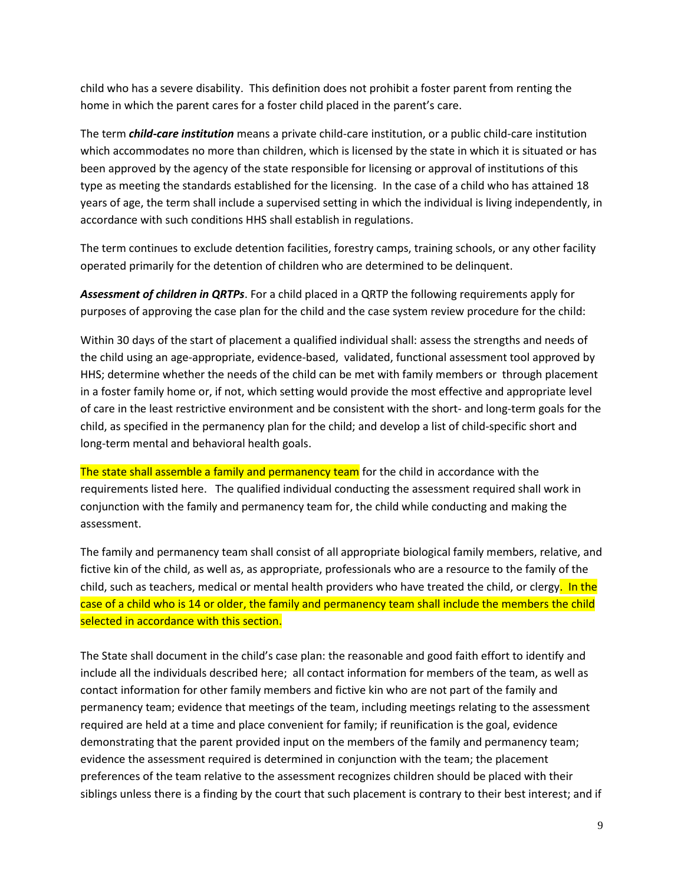child who has a severe disability. This definition does not prohibit a foster parent from renting the home in which the parent cares for a foster child placed in the parent's care.

The term *child-care institution* means a private child-care institution, or a public child-care institution which accommodates no more than children, which is licensed by the state in which it is situated or has been approved by the agency of the state responsible for licensing or approval of institutions of this type as meeting the standards established for the licensing. In the case of a child who has attained 18 years of age, the term shall include a supervised setting in which the individual is living independently, in accordance with such conditions HHS shall establish in regulations.

The term continues to exclude detention facilities, forestry camps, training schools, or any other facility operated primarily for the detention of children who are determined to be delinquent.

*Assessment of children in QRTPs*. For a child placed in a QRTP the following requirements apply for purposes of approving the case plan for the child and the case system review procedure for the child:

Within 30 days of the start of placement a qualified individual shall: assess the strengths and needs of the child using an age-appropriate, evidence-based, validated, functional assessment tool approved by HHS; determine whether the needs of the child can be met with family members or through placement in a foster family home or, if not, which setting would provide the most effective and appropriate level of care in the least restrictive environment and be consistent with the short- and long-term goals for the child, as specified in the permanency plan for the child; and develop a list of child-specific short and long-term mental and behavioral health goals.

The state shall assemble a family and permanency team for the child in accordance with the requirements listed here. The qualified individual conducting the assessment required shall work in conjunction with the family and permanency team for, the child while conducting and making the assessment.

The family and permanency team shall consist of all appropriate biological family members, relative, and fictive kin of the child, as well as, as appropriate, professionals who are a resource to the family of the child, such as teachers, medical or mental health providers who have treated the child, or clergy. In the case of a child who is 14 or older, the family and permanency team shall include the members the child selected in accordance with this section.

The State shall document in the child's case plan: the reasonable and good faith effort to identify and include all the individuals described here; all contact information for members of the team, as well as contact information for other family members and fictive kin who are not part of the family and permanency team; evidence that meetings of the team, including meetings relating to the assessment required are held at a time and place convenient for family; if reunification is the goal, evidence demonstrating that the parent provided input on the members of the family and permanency team; evidence the assessment required is determined in conjunction with the team; the placement preferences of the team relative to the assessment recognizes children should be placed with their siblings unless there is a finding by the court that such placement is contrary to their best interest; and if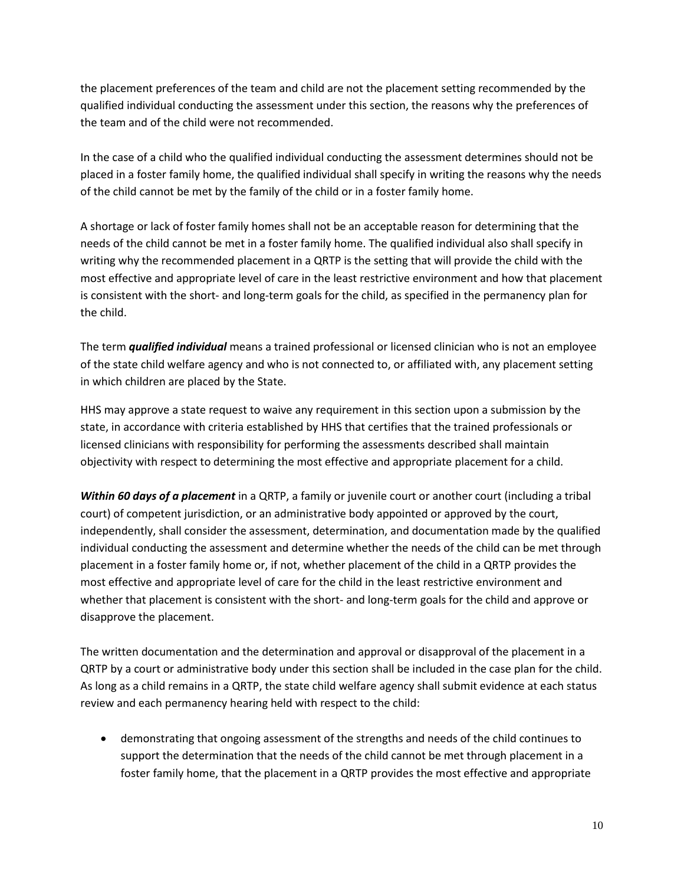the placement preferences of the team and child are not the placement setting recommended by the qualified individual conducting the assessment under this section, the reasons why the preferences of the team and of the child were not recommended.

In the case of a child who the qualified individual conducting the assessment determines should not be placed in a foster family home, the qualified individual shall specify in writing the reasons why the needs of the child cannot be met by the family of the child or in a foster family home.

A shortage or lack of foster family homes shall not be an acceptable reason for determining that the needs of the child cannot be met in a foster family home. The qualified individual also shall specify in writing why the recommended placement in a QRTP is the setting that will provide the child with the most effective and appropriate level of care in the least restrictive environment and how that placement is consistent with the short- and long-term goals for the child, as specified in the permanency plan for the child.

The term *qualified individual* means a trained professional or licensed clinician who is not an employee of the state child welfare agency and who is not connected to, or affiliated with, any placement setting in which children are placed by the State.

HHS may approve a state request to waive any requirement in this section upon a submission by the state, in accordance with criteria established by HHS that certifies that the trained professionals or licensed clinicians with responsibility for performing the assessments described shall maintain objectivity with respect to determining the most effective and appropriate placement for a child.

*Within 60 days of a placement* in a QRTP, a family or juvenile court or another court (including a tribal court) of competent jurisdiction, or an administrative body appointed or approved by the court, independently, shall consider the assessment, determination, and documentation made by the qualified individual conducting the assessment and determine whether the needs of the child can be met through placement in a foster family home or, if not, whether placement of the child in a QRTP provides the most effective and appropriate level of care for the child in the least restrictive environment and whether that placement is consistent with the short- and long-term goals for the child and approve or disapprove the placement.

The written documentation and the determination and approval or disapproval of the placement in a QRTP by a court or administrative body under this section shall be included in the case plan for the child. As long as a child remains in a QRTP, the state child welfare agency shall submit evidence at each status review and each permanency hearing held with respect to the child:

 demonstrating that ongoing assessment of the strengths and needs of the child continues to support the determination that the needs of the child cannot be met through placement in a foster family home, that the placement in a QRTP provides the most effective and appropriate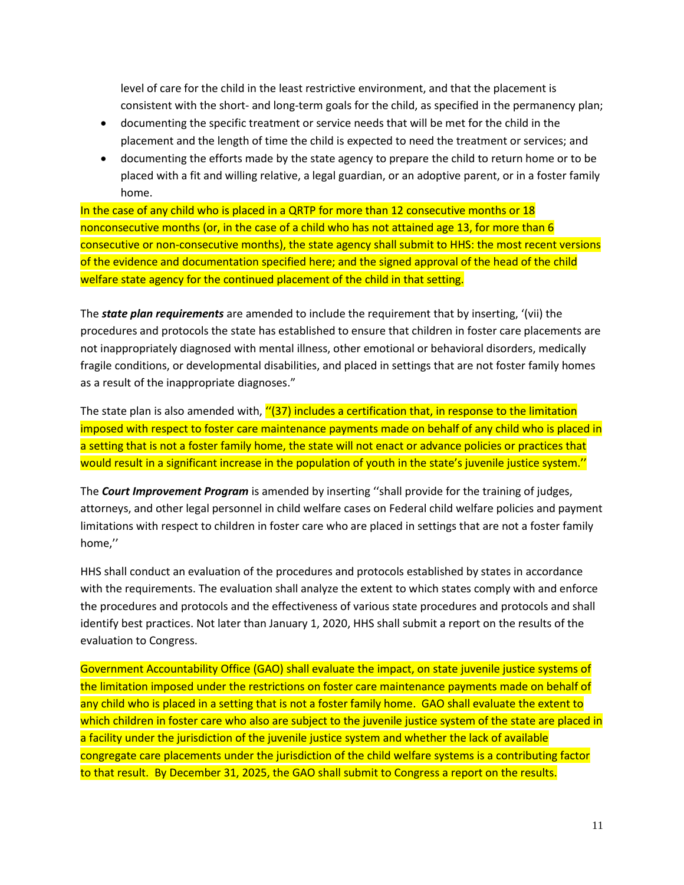level of care for the child in the least restrictive environment, and that the placement is consistent with the short- and long-term goals for the child, as specified in the permanency plan;

- documenting the specific treatment or service needs that will be met for the child in the placement and the length of time the child is expected to need the treatment or services; and
- documenting the efforts made by the state agency to prepare the child to return home or to be placed with a fit and willing relative, a legal guardian, or an adoptive parent, or in a foster family home.

In the case of any child who is placed in a QRTP for more than 12 consecutive months or 18 nonconsecutive months (or, in the case of a child who has not attained age 13, for more than 6 consecutive or non-consecutive months), the state agency shall submit to HHS: the most recent versions of the evidence and documentation specified here; and the signed approval of the head of the child welfare state agency for the continued placement of the child in that setting.

The *state plan requirements* are amended to include the requirement that by inserting, '(vii) the procedures and protocols the state has established to ensure that children in foster care placements are not inappropriately diagnosed with mental illness, other emotional or behavioral disorders, medically fragile conditions, or developmental disabilities, and placed in settings that are not foster family homes as a result of the inappropriate diagnoses."

The state plan is also amended with, "(37) includes a certification that, in response to the limitation imposed with respect to foster care maintenance payments made on behalf of any child who is placed in a setting that is not a foster family home, the state will not enact or advance policies or practices that would result in a significant increase in the population of youth in the state's juvenile justice system.''

The *Court Improvement Program* is amended by inserting ''shall provide for the training of judges, attorneys, and other legal personnel in child welfare cases on Federal child welfare policies and payment limitations with respect to children in foster care who are placed in settings that are not a foster family home,''

HHS shall conduct an evaluation of the procedures and protocols established by states in accordance with the requirements. The evaluation shall analyze the extent to which states comply with and enforce the procedures and protocols and the effectiveness of various state procedures and protocols and shall identify best practices. Not later than January 1, 2020, HHS shall submit a report on the results of the evaluation to Congress.

Government Accountability Office (GAO) shall evaluate the impact, on state juvenile justice systems of the limitation imposed under the restrictions on foster care maintenance payments made on behalf of any child who is placed in a setting that is not a foster family home. GAO shall evaluate the extent to which children in foster care who also are subject to the juvenile justice system of the state are placed in a facility under the jurisdiction of the juvenile justice system and whether the lack of available congregate care placements under the jurisdiction of the child welfare systems is a contributing factor to that result. By December 31, 2025, the GAO shall submit to Congress a report on the results.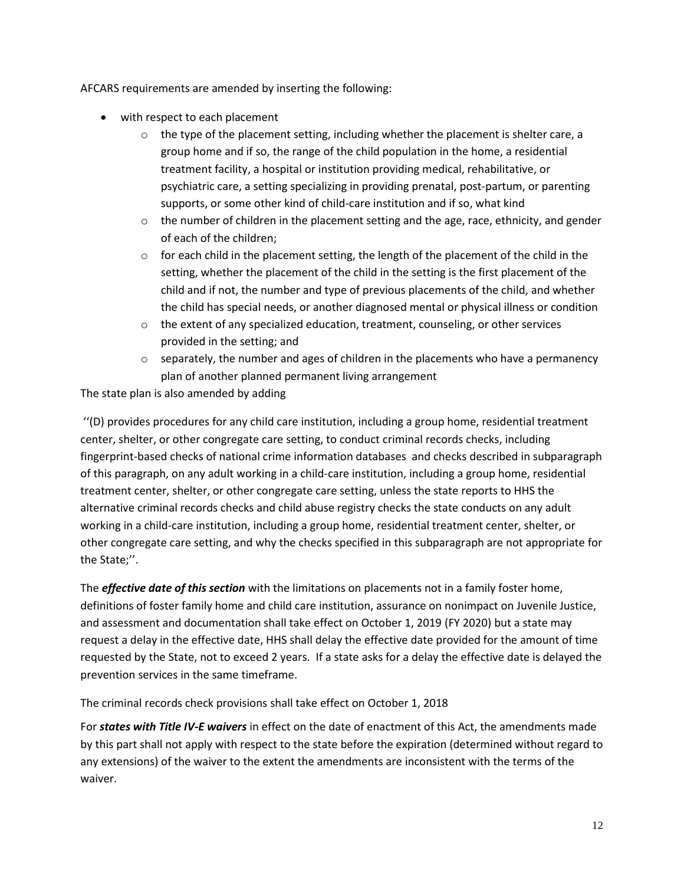AFCARS requirements are amended by inserting the following:

- with respect to each placement
	- $\circ$  the type of the placement setting, including whether the placement is shelter care, a group home and if so, the range of the child population in the home, a residential treatment facility, a hospital or institution providing medical, rehabilitative, or psychiatric care, a setting specializing in providing prenatal, post-partum, or parenting supports, or some other kind of child-care institution and if so, what kind
	- $\circ$  the number of children in the placement setting and the age, race, ethnicity, and gender of each of the children;
	- $\circ$  for each child in the placement setting, the length of the placement of the child in the setting, whether the placement of the child in the setting is the first placement of the child and if not, the number and type of previous placements of the child, and whether the child has special needs, or another diagnosed mental or physical illness or condition
	- $\circ$  the extent of any specialized education, treatment, counseling, or other services provided in the setting; and
	- $\circ$  separately, the number and ages of children in the placements who have a permanency plan of another planned permanent living arrangement

The state plan is also amended by adding

''(D) provides procedures for any child care institution, including a group home, residential treatment center, shelter, or other congregate care setting, to conduct criminal records checks, including fingerprint-based checks of national crime information databases and checks described in subparagraph of this paragraph, on any adult working in a child-care institution, including a group home, residential treatment center, shelter, or other congregate care setting, unless the state reports to HHS the alternative criminal records checks and child abuse registry checks the state conducts on any adult working in a child-care institution, including a group home, residential treatment center, shelter, or other congregate care setting, and why the checks specified in this subparagraph are not appropriate for the State;''.

The *effective date of this section* with the limitations on placements not in a family foster home, definitions of foster family home and child care institution, assurance on nonimpact on Juvenile Justice, and assessment and documentation shall take effect on October 1, 2019 (FY 2020) but a state may request a delay in the effective date, HHS shall delay the effective date provided for the amount of time requested by the State, not to exceed 2 years. If a state asks for a delay the effective date is delayed the prevention services in the same timeframe.

The criminal records check provisions shall take effect on October 1, 2018

For *states with Title IV-E waivers* in effect on the date of enactment of this Act, the amendments made by this part shall not apply with respect to the state before the expiration (determined without regard to any extensions) of the waiver to the extent the amendments are inconsistent with the terms of the waiver.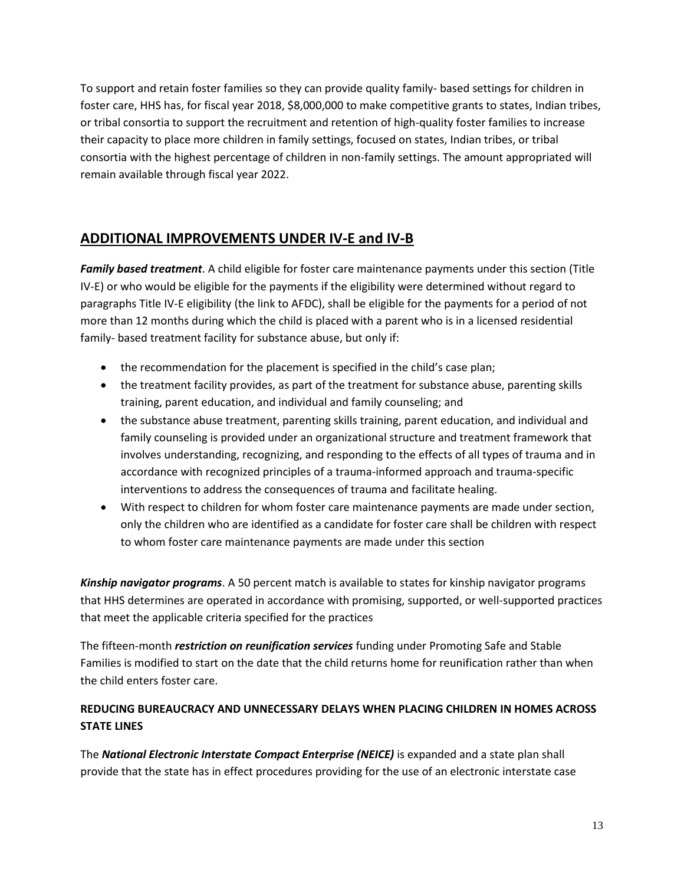To support and retain foster families so they can provide quality family- based settings for children in foster care, HHS has, for fiscal year 2018, \$8,000,000 to make competitive grants to states, Indian tribes, or tribal consortia to support the recruitment and retention of high-quality foster families to increase their capacity to place more children in family settings, focused on states, Indian tribes, or tribal consortia with the highest percentage of children in non-family settings. The amount appropriated will remain available through fiscal year 2022.

#### **ADDITIONAL IMPROVEMENTS UNDER IV-E and IV-B**

*Family based treatment*. A child eligible for foster care maintenance payments under this section (Title IV-E) or who would be eligible for the payments if the eligibility were determined without regard to paragraphs Title IV-E eligibility (the link to AFDC), shall be eligible for the payments for a period of not more than 12 months during which the child is placed with a parent who is in a licensed residential family- based treatment facility for substance abuse, but only if:

- the recommendation for the placement is specified in the child's case plan;
- the treatment facility provides, as part of the treatment for substance abuse, parenting skills training, parent education, and individual and family counseling; and
- the substance abuse treatment, parenting skills training, parent education, and individual and family counseling is provided under an organizational structure and treatment framework that involves understanding, recognizing, and responding to the effects of all types of trauma and in accordance with recognized principles of a trauma-informed approach and trauma-specific interventions to address the consequences of trauma and facilitate healing.
- With respect to children for whom foster care maintenance payments are made under section, only the children who are identified as a candidate for foster care shall be children with respect to whom foster care maintenance payments are made under this section

*Kinship navigator programs*. A 50 percent match is available to states for kinship navigator programs that HHS determines are operated in accordance with promising, supported, or well-supported practices that meet the applicable criteria specified for the practices

The fifteen-month *restriction on reunification services* funding under Promoting Safe and Stable Families is modified to start on the date that the child returns home for reunification rather than when the child enters foster care.

#### **REDUCING BUREAUCRACY AND UNNECESSARY DELAYS WHEN PLACING CHILDREN IN HOMES ACROSS STATE LINES**

The *National Electronic Interstate Compact Enterprise (NEICE)* is expanded and a state plan shall provide that the state has in effect procedures providing for the use of an electronic interstate case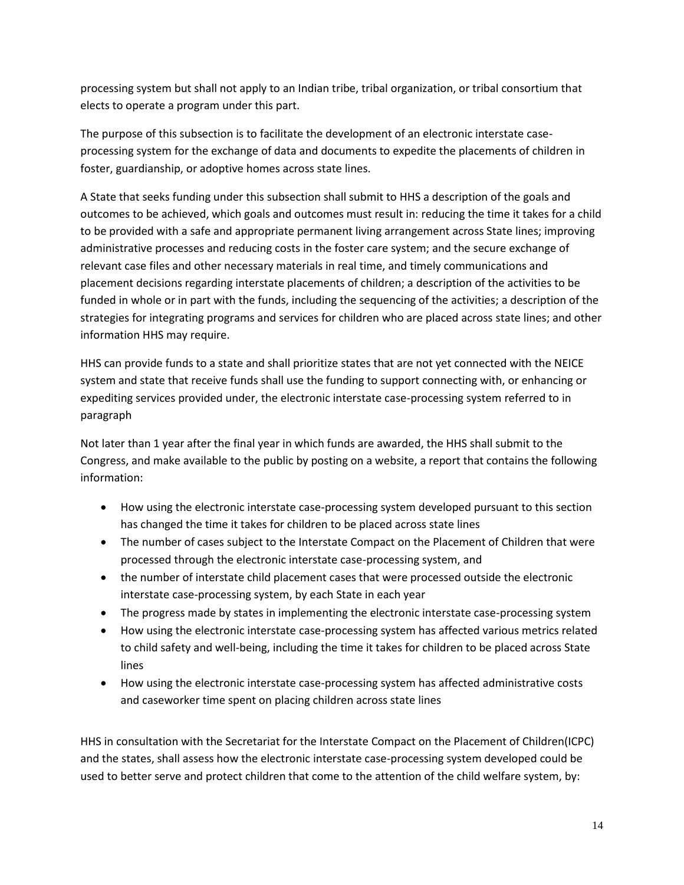processing system but shall not apply to an Indian tribe, tribal organization, or tribal consortium that elects to operate a program under this part.

The purpose of this subsection is to facilitate the development of an electronic interstate caseprocessing system for the exchange of data and documents to expedite the placements of children in foster, guardianship, or adoptive homes across state lines.

A State that seeks funding under this subsection shall submit to HHS a description of the goals and outcomes to be achieved, which goals and outcomes must result in: reducing the time it takes for a child to be provided with a safe and appropriate permanent living arrangement across State lines; improving administrative processes and reducing costs in the foster care system; and the secure exchange of relevant case files and other necessary materials in real time, and timely communications and placement decisions regarding interstate placements of children; a description of the activities to be funded in whole or in part with the funds, including the sequencing of the activities; a description of the strategies for integrating programs and services for children who are placed across state lines; and other information HHS may require.

HHS can provide funds to a state and shall prioritize states that are not yet connected with the NEICE system and state that receive funds shall use the funding to support connecting with, or enhancing or expediting services provided under, the electronic interstate case-processing system referred to in paragraph

Not later than 1 year after the final year in which funds are awarded, the HHS shall submit to the Congress, and make available to the public by posting on a website, a report that contains the following information:

- How using the electronic interstate case-processing system developed pursuant to this section has changed the time it takes for children to be placed across state lines
- The number of cases subject to the Interstate Compact on the Placement of Children that were processed through the electronic interstate case-processing system, and
- the number of interstate child placement cases that were processed outside the electronic interstate case-processing system, by each State in each year
- The progress made by states in implementing the electronic interstate case-processing system
- How using the electronic interstate case-processing system has affected various metrics related to child safety and well-being, including the time it takes for children to be placed across State lines
- How using the electronic interstate case-processing system has affected administrative costs and caseworker time spent on placing children across state lines

HHS in consultation with the Secretariat for the Interstate Compact on the Placement of Children(ICPC) and the states, shall assess how the electronic interstate case-processing system developed could be used to better serve and protect children that come to the attention of the child welfare system, by: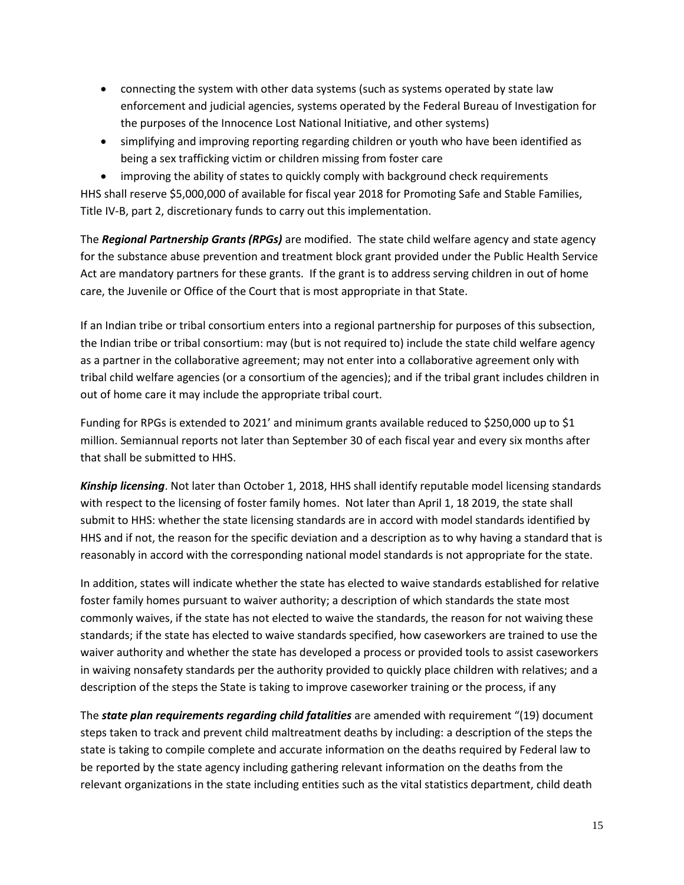- connecting the system with other data systems (such as systems operated by state law enforcement and judicial agencies, systems operated by the Federal Bureau of Investigation for the purposes of the Innocence Lost National Initiative, and other systems)
- simplifying and improving reporting regarding children or youth who have been identified as being a sex trafficking victim or children missing from foster care

 improving the ability of states to quickly comply with background check requirements HHS shall reserve \$5,000,000 of available for fiscal year 2018 for Promoting Safe and Stable Families, Title IV-B, part 2, discretionary funds to carry out this implementation.

The *Regional Partnership Grants (RPGs)* are modified. The state child welfare agency and state agency for the substance abuse prevention and treatment block grant provided under the Public Health Service Act are mandatory partners for these grants. If the grant is to address serving children in out of home care, the Juvenile or Office of the Court that is most appropriate in that State.

If an Indian tribe or tribal consortium enters into a regional partnership for purposes of this subsection, the Indian tribe or tribal consortium: may (but is not required to) include the state child welfare agency as a partner in the collaborative agreement; may not enter into a collaborative agreement only with tribal child welfare agencies (or a consortium of the agencies); and if the tribal grant includes children in out of home care it may include the appropriate tribal court.

Funding for RPGs is extended to 2021' and minimum grants available reduced to \$250,000 up to \$1 million. Semiannual reports not later than September 30 of each fiscal year and every six months after that shall be submitted to HHS.

*Kinship licensing*. Not later than October 1, 2018, HHS shall identify reputable model licensing standards with respect to the licensing of foster family homes. Not later than April 1, 18 2019, the state shall submit to HHS: whether the state licensing standards are in accord with model standards identified by HHS and if not, the reason for the specific deviation and a description as to why having a standard that is reasonably in accord with the corresponding national model standards is not appropriate for the state.

In addition, states will indicate whether the state has elected to waive standards established for relative foster family homes pursuant to waiver authority; a description of which standards the state most commonly waives, if the state has not elected to waive the standards, the reason for not waiving these standards; if the state has elected to waive standards specified, how caseworkers are trained to use the waiver authority and whether the state has developed a process or provided tools to assist caseworkers in waiving nonsafety standards per the authority provided to quickly place children with relatives; and a description of the steps the State is taking to improve caseworker training or the process, if any

The *state plan requirements regarding child fatalities* are amended with requirement "(19) document steps taken to track and prevent child maltreatment deaths by including: a description of the steps the state is taking to compile complete and accurate information on the deaths required by Federal law to be reported by the state agency including gathering relevant information on the deaths from the relevant organizations in the state including entities such as the vital statistics department, child death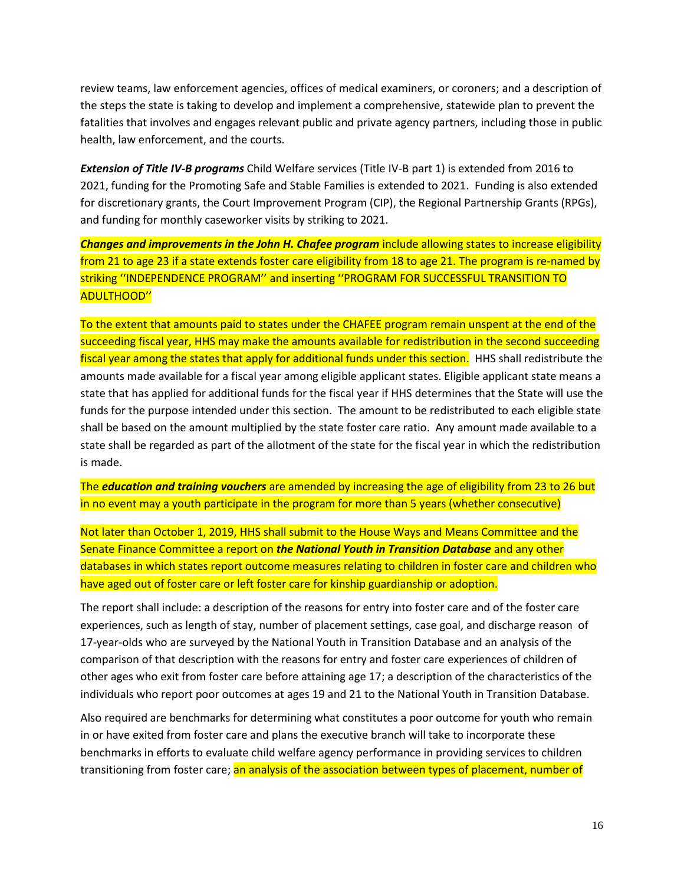review teams, law enforcement agencies, offices of medical examiners, or coroners; and a description of the steps the state is taking to develop and implement a comprehensive, statewide plan to prevent the fatalities that involves and engages relevant public and private agency partners, including those in public health, law enforcement, and the courts.

*Extension of Title IV-B programs* Child Welfare services (Title IV-B part 1) is extended from 2016 to 2021, funding for the Promoting Safe and Stable Families is extended to 2021. Funding is also extended for discretionary grants, the Court Improvement Program (CIP), the Regional Partnership Grants (RPGs), and funding for monthly caseworker visits by striking to 2021.

*Changes and improvements in the John H. Chafee program* include allowing states to increase eligibility from 21 to age 23 if a state extends foster care eligibility from 18 to age 21. The program is re-named by striking ''INDEPENDENCE PROGRAM'' and inserting ''PROGRAM FOR SUCCESSFUL TRANSITION TO ADULTHOOD''

To the extent that amounts paid to states under the CHAFEE program remain unspent at the end of the succeeding fiscal year, HHS may make the amounts available for redistribution in the second succeeding fiscal year among the states that apply for additional funds under this section. HHS shall redistribute the amounts made available for a fiscal year among eligible applicant states. Eligible applicant state means a state that has applied for additional funds for the fiscal year if HHS determines that the State will use the funds for the purpose intended under this section. The amount to be redistributed to each eligible state shall be based on the amount multiplied by the state foster care ratio. Any amount made available to a state shall be regarded as part of the allotment of the state for the fiscal year in which the redistribution is made.

The *education and training vouchers* are amended by increasing the age of eligibility from 23 to 26 but in no event may a youth participate in the program for more than 5 years (whether consecutive)

Not later than October 1, 2019, HHS shall submit to the House Ways and Means Committee and the Senate Finance Committee a report on *the National Youth in Transition Database* and any other databases in which states report outcome measures relating to children in foster care and children who have aged out of foster care or left foster care for kinship guardianship or adoption.

The report shall include: a description of the reasons for entry into foster care and of the foster care experiences, such as length of stay, number of placement settings, case goal, and discharge reason of 17-year-olds who are surveyed by the National Youth in Transition Database and an analysis of the comparison of that description with the reasons for entry and foster care experiences of children of other ages who exit from foster care before attaining age 17; a description of the characteristics of the individuals who report poor outcomes at ages 19 and 21 to the National Youth in Transition Database.

Also required are benchmarks for determining what constitutes a poor outcome for youth who remain in or have exited from foster care and plans the executive branch will take to incorporate these benchmarks in efforts to evaluate child welfare agency performance in providing services to children transitioning from foster care; an analysis of the association between types of placement, number of